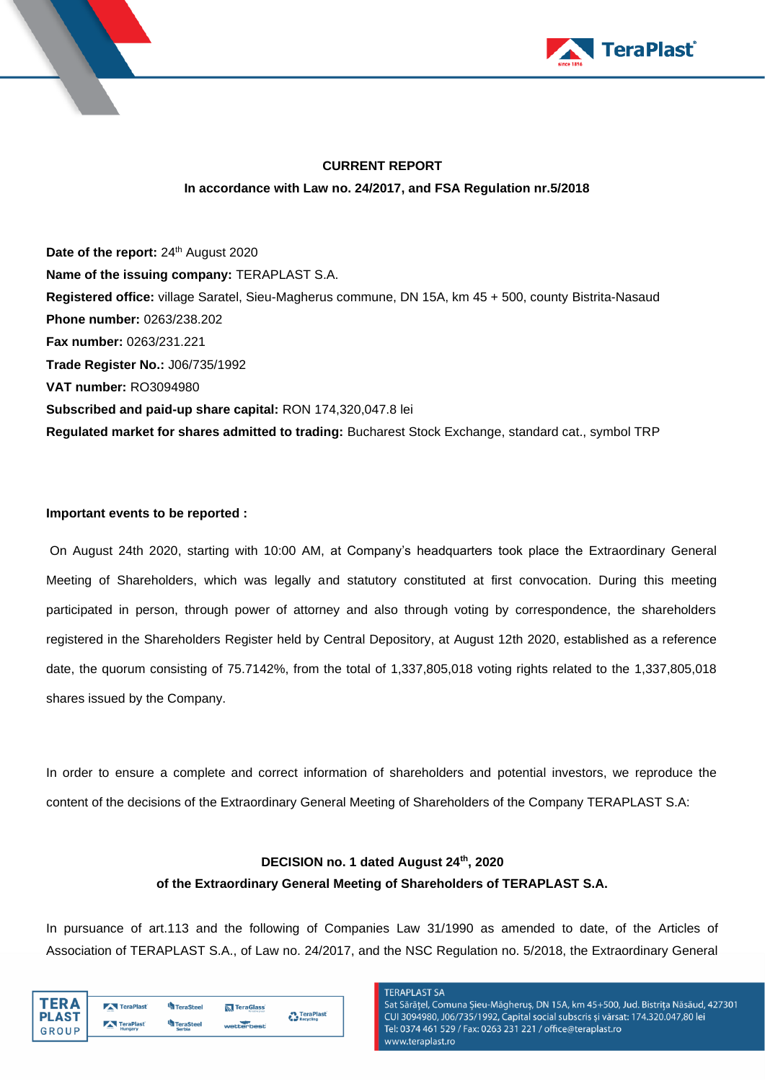



# **CURRENT REPORT In accordance with Law no. 24/2017, and FSA Regulation nr.5/2018**

Date of the report: 24<sup>th</sup> August 2020 **Name of the issuing company:** TERAPLAST S.A. **Registered office:** village Saratel, Sieu-Magherus commune, DN 15A, km 45 + 500, county Bistrita-Nasaud **Phone number:** 0263/238.202 **Fax number:** 0263/231.221 **Trade Register No.:** J06/735/1992 **VAT number:** RO3094980 **Subscribed and paid-up share capital:** RON 174,320,047.8 lei **Regulated market for shares admitted to trading:** Bucharest Stock Exchange, standard cat., symbol TRP

#### **Important events to be reported :**

On August 24th 2020, starting with 10:00 AM, at Company's headquarters took place the Extraordinary General Meeting of Shareholders, which was legally and statutory constituted at first convocation. During this meeting participated in person, through power of attorney and also through voting by correspondence, the shareholders registered in the Shareholders Register held by Central Depository, at August 12th 2020, established as a reference date, the quorum consisting of 75.7142%, from the total of 1,337,805,018 voting rights related to the 1,337,805,018 shares issued by the Company.

In order to ensure a complete and correct information of shareholders and potential investors, we reproduce the content of the decisions of the Extraordinary General Meeting of Shareholders of the Company TERAPLAST S.A:

## **DECISION no. 1 dated August 24th, 2020 of the Extraordinary General Meeting of Shareholders of TERAPLAST S.A.**

In pursuance of art.113 and the following of Companies Law 31/1990 as amended to date, of the Articles of Association of TERAPLAST S.A., of Law no. 24/2017, and the NSC Regulation no. 5/2018, the Extraordinary General

| TFR A        | TeraPlast                    | TeraSteel     | TeraGlass  | <b>TeraPlast</b> |
|--------------|------------------------------|---------------|------------|------------------|
| <b>PLAST</b> | TeraPlast                    | TeraSteel     |            | Recycling        |
| GROUP        | <b>CONTRACTOR</b><br>Hungary | <b>Serbia</b> | wetterbest |                  |

**TERAPLAST SA** Sat Sărățel, Comuna Șieu-Măgheruș, DN 15A, km 45+500, Jud. Bistrița Năsăud, 427301 CUI 3094980, J06/735/1992, Capital social subscris și vărsat: 174.320.047,80 lei Tel: 0374 461 529 / Fax: 0263 231 221 / office@teraplast.ro vww.teraplast.ro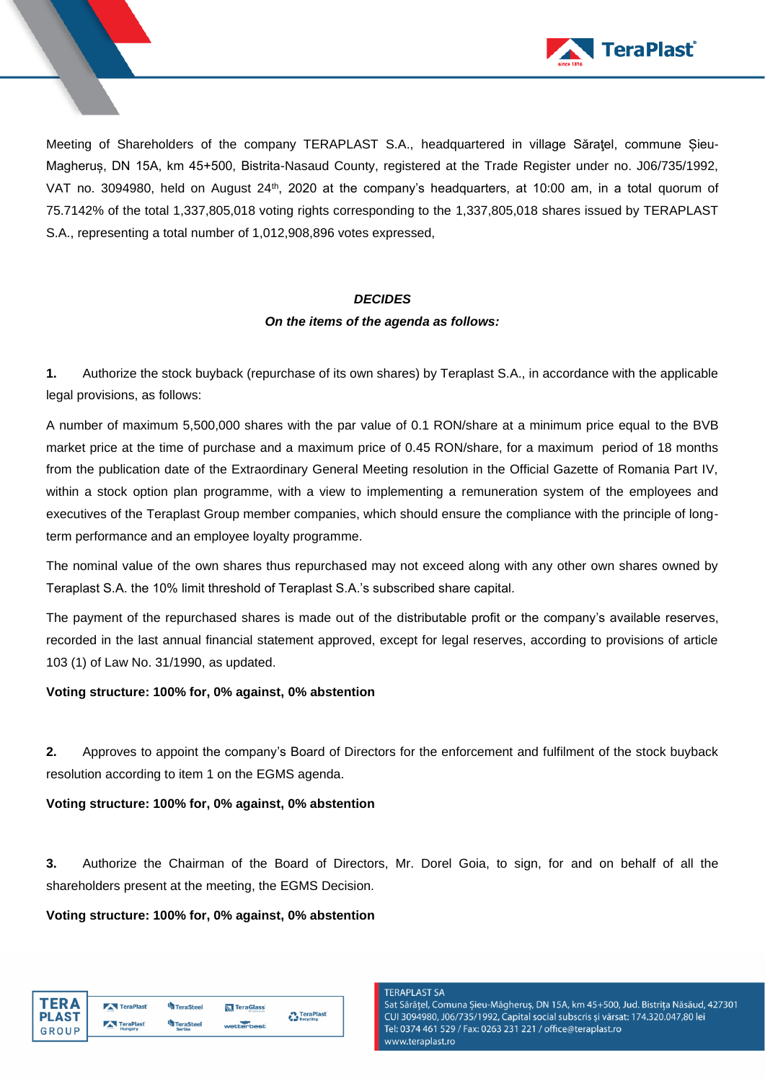

Meeting of Shareholders of the company TERAPLAST S.A., headquartered in village Săratel, commune Șieu-Magheruș, DN 15A, km 45+500, Bistrita-Nasaud County, registered at the Trade Register under no. J06/735/1992, VAT no. 3094980, held on August 24<sup>th</sup>, 2020 at the company's headquarters, at 10:00 am, in a total quorum of 75.7142% of the total 1,337,805,018 voting rights corresponding to the 1,337,805,018 shares issued by TERAPLAST S.A., representing a total number of 1,012,908,896 votes expressed,

#### *DECIDES*

#### *On the items of the agenda as follows:*

**1.** Authorize the stock buyback (repurchase of its own shares) by Teraplast S.A., in accordance with the applicable legal provisions, as follows:

A number of maximum 5,500,000 shares with the par value of 0.1 RON/share at a minimum price equal to the BVB market price at the time of purchase and a maximum price of 0.45 RON/share, for a maximum period of 18 months from the publication date of the Extraordinary General Meeting resolution in the Official Gazette of Romania Part IV, within a stock option plan programme, with a view to implementing a remuneration system of the employees and executives of the Teraplast Group member companies, which should ensure the compliance with the principle of longterm performance and an employee loyalty programme.

The nominal value of the own shares thus repurchased may not exceed along with any other own shares owned by Teraplast S.A. the 10% limit threshold of Teraplast S.A.'s subscribed share capital.

The payment of the repurchased shares is made out of the distributable profit or the company's available reserves, recorded in the last annual financial statement approved, except for legal reserves, according to provisions of article 103 (1) of Law No. 31/1990, as updated.

## **Voting structure: 100% for, 0% against, 0% abstention**

**2.** Approves to appoint the company's Board of Directors for the enforcement and fulfilment of the stock buyback resolution according to item 1 on the EGMS agenda.

#### **Voting structure: 100% for, 0% against, 0% abstention**

**3.** Authorize the Chairman of the Board of Directors, Mr. Dorel Goia, to sign, for and on behalf of all the shareholders present at the meeting, the EGMS Decision.

#### **Voting structure: 100% for, 0% against, 0% abstention**

| TFR A        | TeraPlast      | TeraSteel     | <b>N</b> TeraGlass | TeraPlast |  |
|--------------|----------------|---------------|--------------------|-----------|--|
| <b>PLAST</b> | TeraPlast      | TeraSteel     |                    | Recycling |  |
| GROUP        | $-$<br>Hungary | <b>Serbia</b> | wetterbest         |           |  |

#### **TERAPLAST SA**

Sat Sărățel, Comuna Șieu-Măgheruș, DN 15A, km 45+500, Jud. Bistrița Năsăud, 427301 CUI 3094980, J06/735/1992, Capital social subscris și vărsat: 174.320.047,80 lei Tel: 0374 461 529 / Fax: 0263 231 221 / office@teraplast.ro www.teraplast.ro